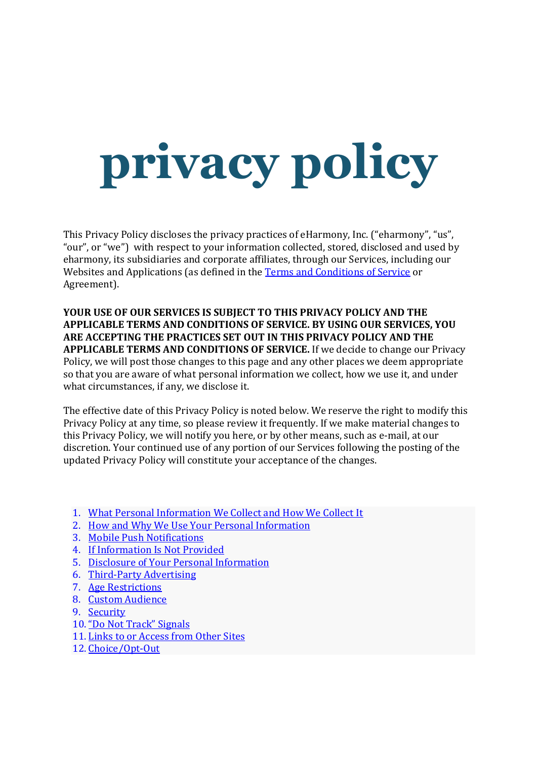# privacy policy

This Privacy Policy discloses the privacy practices of eHarmony, Inc. ("eharmony", "us", "our", or "we") with respect to your information collected, stored, disclosed and used by eharmony, its subsidiaries and corporate affiliates, through our Services, including our Websites and Applications (as defined in the Terms and Conditions of Service or Agreement).

YOUR USE OF OUR SERVICES IS SUBJECT TO THIS PRIVACY POLICY AND THE APPLICABLE TERMS AND CONDITIONS OF SERVICE. BY USING OUR SERVICES, YOU ARE ACCEPTING THE PRACTICES SET OUT IN THIS PRIVACY POLICY AND THE APPLICABLE TERMS AND CONDITIONS OF SERVICE. If we decide to change our Privacy Policy, we will post those changes to this page and any other places we deem appropriate so that you are aware of what personal information we collect, how we use it, and under what circumstances, if any, we disclose it.

The effective date of this Privacy Policy is noted below. We reserve the right to modify this Privacy Policy at any time, so please review it frequently. If we make material changes to this Privacy Policy, we will notify you here, or by other means, such as e-mail, at our discretion. Your continued use of any portion of our Services following the posting of the updated Privacy Policy will constitute your acceptance of the changes.

- 1. What Personal Information We Collect and How We Collect It
- 2. How and Why We Use Your Personal Information
- 3. Mobile Push Notifications
- 4. If Information Is Not Provided
- 5. Disclosure of Your Personal Information
- 6. Third-Party Advertising
- 7. Age Restrictions
- 8. Custom Audience
- 9. Security
- 10."Do Not Track" Signals
- 11. Links to or Access from Other Sites
- 12. Choice/Opt-Out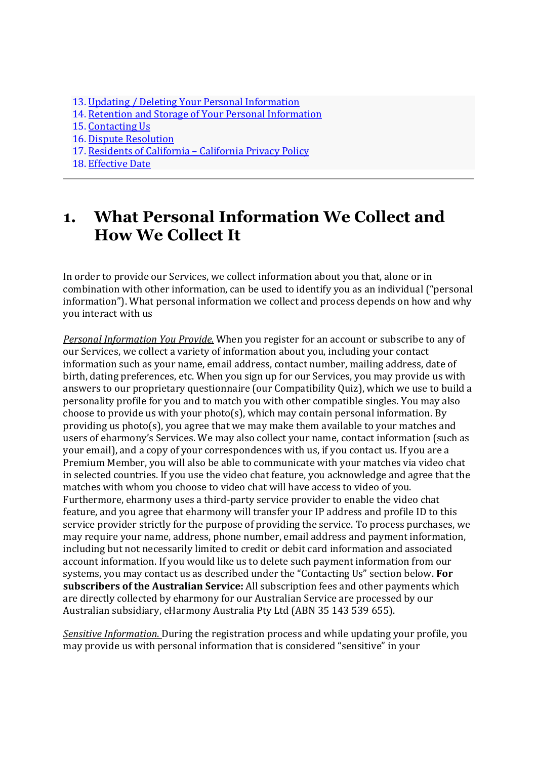- 13. Updating / Deleting Your Personal Information
- 14. Retention and Storage of Your Personal Information
- 15. Contacting Us
- 16. Dispute Resolution
- 17. Residents of California California Privacy Policy
- 18. Effective Date

## 1. What Personal Information We Collect and How We Collect It

In order to provide our Services, we collect information about you that, alone or in combination with other information, can be used to identify you as an individual ("personal information"). What personal information we collect and process depends on how and why you interact with us

Personal Information You Provide. When you register for an account or subscribe to any of our Services, we collect a variety of information about you, including your contact information such as your name, email address, contact number, mailing address, date of birth, dating preferences, etc. When you sign up for our Services, you may provide us with answers to our proprietary questionnaire (our Compatibility Quiz), which we use to build a personality profile for you and to match you with other compatible singles. You may also choose to provide us with your photo(s), which may contain personal information. By providing us photo(s), you agree that we may make them available to your matches and users of eharmony's Services. We may also collect your name, contact information (such as your email), and a copy of your correspondences with us, if you contact us. If you are a Premium Member, you will also be able to communicate with your matches via video chat in selected countries. If you use the video chat feature, you acknowledge and agree that the matches with whom you choose to video chat will have access to video of you. Furthermore, eharmony uses a third-party service provider to enable the video chat feature, and you agree that eharmony will transfer your IP address and profile ID to this service provider strictly for the purpose of providing the service. To process purchases, we may require your name, address, phone number, email address and payment information, including but not necessarily limited to credit or debit card information and associated account information. If you would like us to delete such payment information from our systems, you may contact us as described under the "Contacting Us" section below. For subscribers of the Australian Service: All subscription fees and other payments which are directly collected by eharmony for our Australian Service are processed by our Australian subsidiary, eHarmony Australia Pty Ltd (ABN 35 143 539 655).

Sensitive Information. During the registration process and while updating your profile, you may provide us with personal information that is considered "sensitive" in your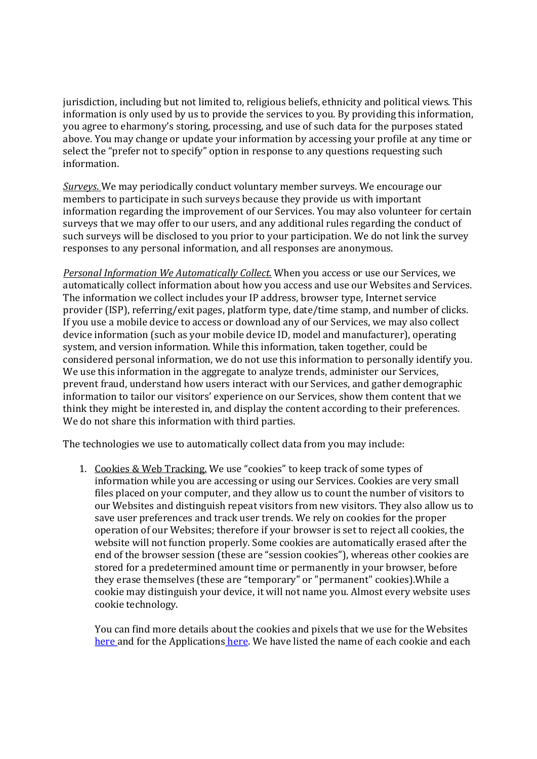jurisdiction, including but not limited to, religious beliefs, ethnicity and political views. This information is only used by us to provide the services to you. By providing this information, you agree to eharmony's storing, processing, and use of such data for the purposes stated above. You may change or update your information by accessing your profile at any time or select the "prefer not to specify" option in response to any questions requesting such information.

Surveys. We may periodically conduct voluntary member surveys. We encourage our members to participate in such surveys because they provide us with important information regarding the improvement of our Services. You may also volunteer for certain surveys that we may offer to our users, and any additional rules regarding the conduct of such surveys will be disclosed to you prior to your participation. We do not link the survey responses to any personal information, and all responses are anonymous.

Personal Information We Automatically Collect. When you access or use our Services, we automatically collect information about how you access and use our Websites and Services. The information we collect includes your IP address, browser type, Internet service provider (ISP), referring/exit pages, platform type, date/time stamp, and number of clicks. If you use a mobile device to access or download any of our Services, we may also collect device information (such as your mobile device ID, model and manufacturer), operating system, and version information. While this information, taken together, could be considered personal information, we do not use this information to personally identify you. We use this information in the aggregate to analyze trends, administer our Services, prevent fraud, understand how users interact with our Services, and gather demographic information to tailor our visitors' experience on our Services, show them content that we think they might be interested in, and display the content according to their preferences. We do not share this information with third parties.

The technologies we use to automatically collect data from you may include:

1. Cookies & Web Tracking. We use "cookies" to keep track of some types of information while you are accessing or using our Services. Cookies are very small files placed on your computer, and they allow us to count the number of visitors to our Websites and distinguish repeat visitors from new visitors. They also allow us to save user preferences and track user trends. We rely on cookies for the proper operation of our Websites; therefore if your browser is set to reject all cookies, the website will not function properly. Some cookies are automatically erased after the end of the browser session (these are "session cookies"), whereas other cookies are stored for a predetermined amount time or permanently in your browser, before they erase themselves (these are "temporary" or "permanent" cookies).While a cookie may distinguish your device, it will not name you. Almost every website uses cookie technology.

You can find more details about the cookies and pixels that we use for the Websites here and for the Applications here. We have listed the name of each cookie and each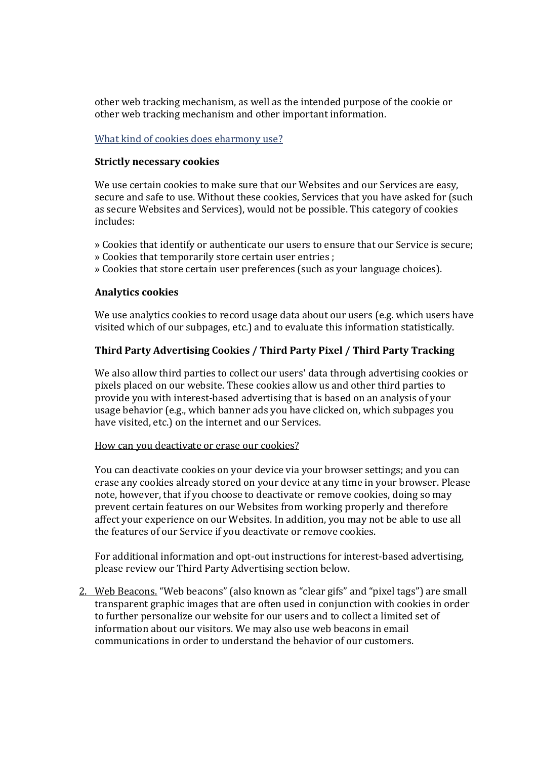other web tracking mechanism, as well as the intended purpose of the cookie or other web tracking mechanism and other important information.

#### What kind of cookies does eharmony use?

#### Strictly necessary cookies

We use certain cookies to make sure that our Websites and our Services are easy, secure and safe to use. Without these cookies, Services that you have asked for (such as secure Websites and Services), would not be possible. This category of cookies includes:

- » Cookies that identify or authenticate our users to ensure that our Service is secure; » Cookies that temporarily store certain user entries ;
- » Cookies that store certain user preferences (such as your language choices).

#### Analytics cookies

We use analytics cookies to record usage data about our users (e.g. which users have visited which of our subpages, etc.) and to evaluate this information statistically.

#### Third Party Advertising Cookies / Third Party Pixel / Third Party Tracking

We also allow third parties to collect our users' data through advertising cookies or pixels placed on our website. These cookies allow us and other third parties to provide you with interest-based advertising that is based on an analysis of your usage behavior (e.g., which banner ads you have clicked on, which subpages you have visited, etc.) on the internet and our Services.

#### How can you deactivate or erase our cookies?

You can deactivate cookies on your device via your browser settings; and you can erase any cookies already stored on your device at any time in your browser. Please note, however, that if you choose to deactivate or remove cookies, doing so may prevent certain features on our Websites from working properly and therefore affect your experience on our Websites. In addition, you may not be able to use all the features of our Service if you deactivate or remove cookies.

For additional information and opt-out instructions for interest-based advertising, please review our Third Party Advertising section below.

2. Web Beacons. "Web beacons" (also known as "clear gifs" and "pixel tags") are small transparent graphic images that are often used in conjunction with cookies in order to further personalize our website for our users and to collect a limited set of information about our visitors. We may also use web beacons in email communications in order to understand the behavior of our customers.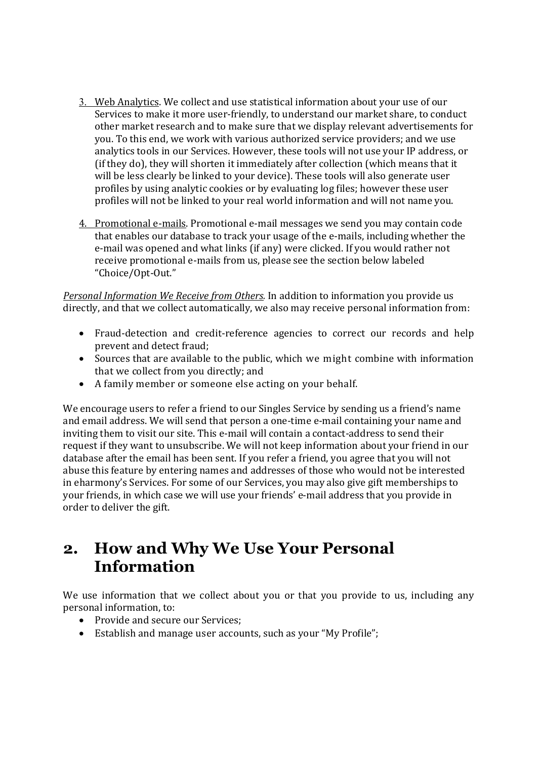- 3. Web Analytics. We collect and use statistical information about your use of our Services to make it more user-friendly, to understand our market share, to conduct other market research and to make sure that we display relevant advertisements for you. To this end, we work with various authorized service providers; and we use analytics tools in our Services. However, these tools will not use your IP address, or (if they do), they will shorten it immediately after collection (which means that it will be less clearly be linked to your device). These tools will also generate user profiles by using analytic cookies or by evaluating log files; however these user profiles will not be linked to your real world information and will not name you.
- 4. Promotional e-mails. Promotional e-mail messages we send you may contain code that enables our database to track your usage of the e-mails, including whether the e-mail was opened and what links (if any) were clicked. If you would rather not receive promotional e-mails from us, please see the section below labeled "Choice/Opt-Out."

Personal Information We Receive from Others. In addition to information you provide us directly, and that we collect automatically, we also may receive personal information from:

- Fraud-detection and credit-reference agencies to correct our records and help prevent and detect fraud;
- Sources that are available to the public, which we might combine with information that we collect from you directly; and
- A family member or someone else acting on your behalf.

We encourage users to refer a friend to our Singles Service by sending us a friend's name and email address. We will send that person a one-time e-mail containing your name and inviting them to visit our site. This e-mail will contain a contact-address to send their request if they want to unsubscribe. We will not keep information about your friend in our database after the email has been sent. If you refer a friend, you agree that you will not abuse this feature by entering names and addresses of those who would not be interested in eharmony's Services. For some of our Services, you may also give gift memberships to your friends, in which case we will use your friends' e-mail address that you provide in order to deliver the gift.

## 2. How and Why We Use Your Personal Information

We use information that we collect about you or that you provide to us, including any personal information, to:

- Provide and secure our Services;
- Establish and manage user accounts, such as your "My Profile";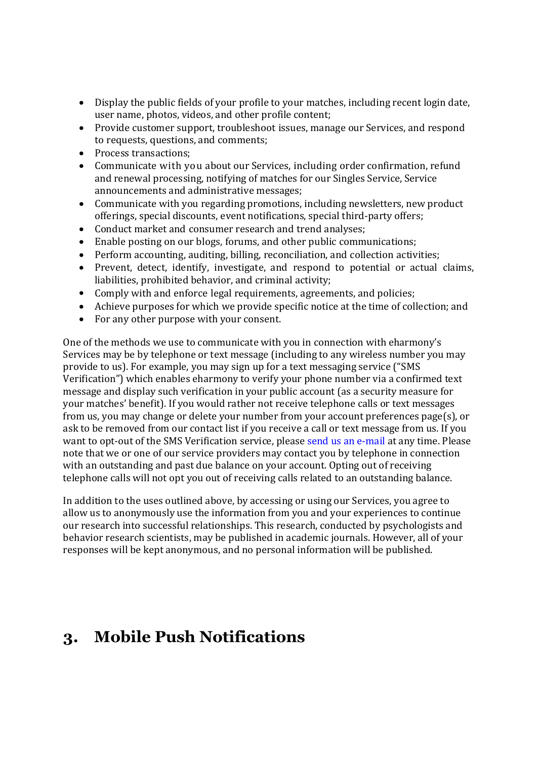- Display the public fields of your profile to your matches, including recent login date, user name, photos, videos, and other profile content;
- Provide customer support, troubleshoot issues, manage our Services, and respond to requests, questions, and comments;
- Process transactions;
- Communicate with you about our Services, including order confirmation, refund and renewal processing, notifying of matches for our Singles Service, Service announcements and administrative messages;
- Communicate with you regarding promotions, including newsletters, new product offerings, special discounts, event notifications, special third-party offers;
- Conduct market and consumer research and trend analyses;
- Enable posting on our blogs, forums, and other public communications;
- Perform accounting, auditing, billing, reconciliation, and collection activities;
- Prevent, detect, identify, investigate, and respond to potential or actual claims, liabilities, prohibited behavior, and criminal activity;
- Comply with and enforce legal requirements, agreements, and policies;
- Achieve purposes for which we provide specific notice at the time of collection; and
- For any other purpose with your consent.

One of the methods we use to communicate with you in connection with eharmony's Services may be by telephone or text message (including to any wireless number you may provide to us). For example, you may sign up for a text messaging service ("SMS Verification") which enables eharmony to verify your phone number via a confirmed text message and display such verification in your public account (as a security measure for your matches' benefit). If you would rather not receive telephone calls or text messages from us, you may change or delete your number from your account preferences page(s), or ask to be removed from our contact list if you receive a call or text message from us. If you want to opt-out of the SMS Verification service, please send us an e-mail at any time. Please note that we or one of our service providers may contact you by telephone in connection with an outstanding and past due balance on your account. Opting out of receiving telephone calls will not opt you out of receiving calls related to an outstanding balance.

In addition to the uses outlined above, by accessing or using our Services, you agree to allow us to anonymously use the information from you and your experiences to continue our research into successful relationships. This research, conducted by psychologists and behavior research scientists, may be published in academic journals. However, all of your responses will be kept anonymous, and no personal information will be published.

# 3. Mobile Push Notifications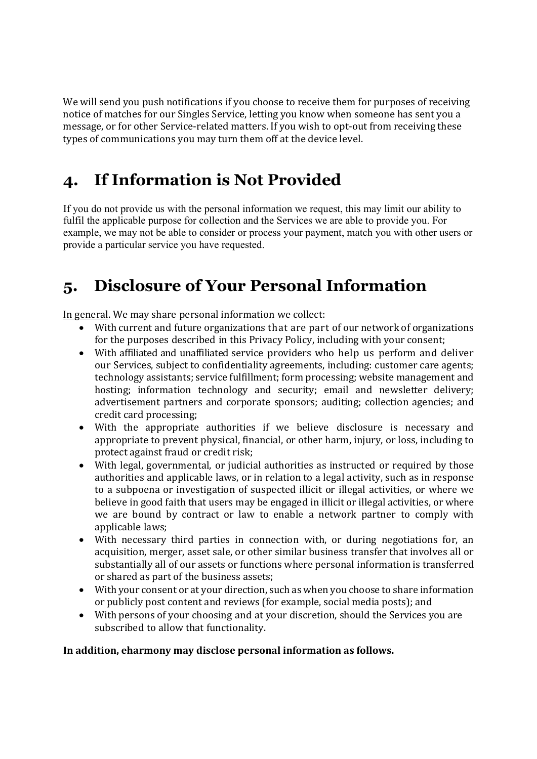We will send you push notifications if you choose to receive them for purposes of receiving notice of matches for our Singles Service, letting you know when someone has sent you a message, or for other Service-related matters. If you wish to opt-out from receiving these types of communications you may turn them off at the device level.

# 4. If Information is Not Provided

If you do not provide us with the personal information we request, this may limit our ability to fulfil the applicable purpose for collection and the Services we are able to provide you. For example, we may not be able to consider or process your payment, match you with other users or provide a particular service you have requested.

# 5. Disclosure of Your Personal Information

In general. We may share personal information we collect:

- With current and future organizations that are part of our network of organizations for the purposes described in this Privacy Policy, including with your consent;
- With affiliated and unaffiliated service providers who help us perform and deliver our Services, subject to confidentiality agreements, including: customer care agents; technology assistants; service fulfillment; form processing; website management and hosting; information technology and security; email and newsletter delivery; advertisement partners and corporate sponsors; auditing; collection agencies; and credit card processing;
- With the appropriate authorities if we believe disclosure is necessary and appropriate to prevent physical, financial, or other harm, injury, or loss, including to protect against fraud or credit risk;
- With legal, governmental, or judicial authorities as instructed or required by those authorities and applicable laws, or in relation to a legal activity, such as in response to a subpoena or investigation of suspected illicit or illegal activities, or where we believe in good faith that users may be engaged in illicit or illegal activities, or where we are bound by contract or law to enable a network partner to comply with applicable laws;
- With necessary third parties in connection with, or during negotiations for, an acquisition, merger, asset sale, or other similar business transfer that involves all or substantially all of our assets or functions where personal information is transferred or shared as part of the business assets;
- With your consent or at your direction, such as when you choose to share information or publicly post content and reviews (for example, social media posts); and
- With persons of your choosing and at your discretion, should the Services you are subscribed to allow that functionality.

#### In addition, eharmony may disclose personal information as follows.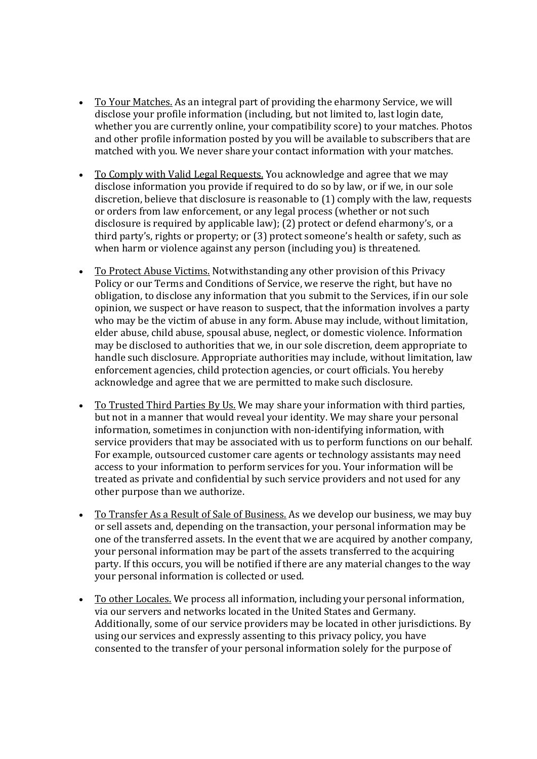- To Your Matches. As an integral part of providing the eharmony Service, we will disclose your profile information (including, but not limited to, last login date, whether you are currently online, your compatibility score) to your matches. Photos and other profile information posted by you will be available to subscribers that are matched with you. We never share your contact information with your matches.
- To Comply with Valid Legal Requests. You acknowledge and agree that we may disclose information you provide if required to do so by law, or if we, in our sole discretion, believe that disclosure is reasonable to (1) comply with the law, requests or orders from law enforcement, or any legal process (whether or not such disclosure is required by applicable law); (2) protect or defend eharmony's, or a third party's, rights or property; or (3) protect someone's health or safety, such as when harm or violence against any person (including you) is threatened.
- To Protect Abuse Victims. Notwithstanding any other provision of this Privacy Policy or our Terms and Conditions of Service, we reserve the right, but have no obligation, to disclose any information that you submit to the Services, if in our sole opinion, we suspect or have reason to suspect, that the information involves a party who may be the victim of abuse in any form. Abuse may include, without limitation, elder abuse, child abuse, spousal abuse, neglect, or domestic violence. Information may be disclosed to authorities that we, in our sole discretion, deem appropriate to handle such disclosure. Appropriate authorities may include, without limitation, law enforcement agencies, child protection agencies, or court officials. You hereby acknowledge and agree that we are permitted to make such disclosure.
- To Trusted Third Parties By Us. We may share your information with third parties, but not in a manner that would reveal your identity. We may share your personal information, sometimes in conjunction with non-identifying information, with service providers that may be associated with us to perform functions on our behalf. For example, outsourced customer care agents or technology assistants may need access to your information to perform services for you. Your information will be treated as private and confidential by such service providers and not used for any other purpose than we authorize.
- To Transfer As a Result of Sale of Business. As we develop our business, we may buy or sell assets and, depending on the transaction, your personal information may be one of the transferred assets. In the event that we are acquired by another company, your personal information may be part of the assets transferred to the acquiring party. If this occurs, you will be notified if there are any material changes to the way your personal information is collected or used.
- To other Locales. We process all information, including your personal information, via our servers and networks located in the United States and Germany. Additionally, some of our service providers may be located in other jurisdictions. By using our services and expressly assenting to this privacy policy, you have consented to the transfer of your personal information solely for the purpose of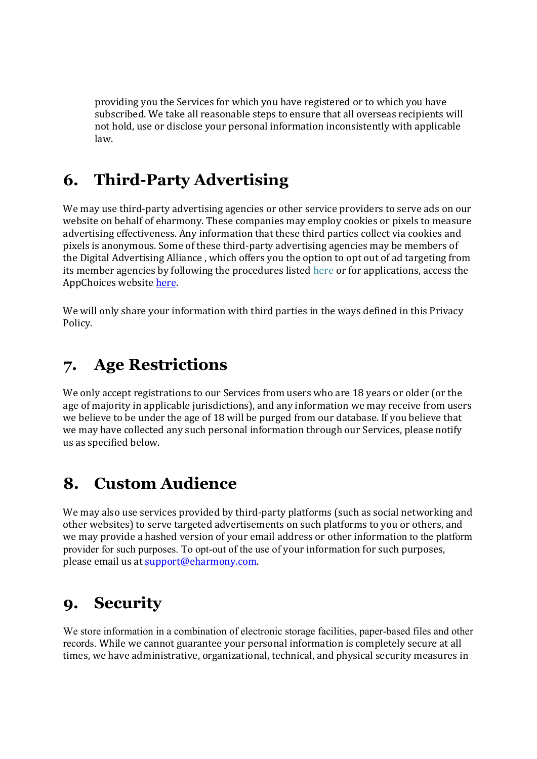providing you the Services for which you have registered or to which you have subscribed. We take all reasonable steps to ensure that all overseas recipients will not hold, use or disclose your personal information inconsistently with applicable law.

# 6. Third-Party Advertising

We may use third-party advertising agencies or other service providers to serve ads on our website on behalf of eharmony. These companies may employ cookies or pixels to measure advertising effectiveness. Any information that these third parties collect via cookies and pixels is anonymous. Some of these third-party advertising agencies may be members of the Digital Advertising Alliance , which offers you the option to opt out of ad targeting from its member agencies by following the procedures listed here or for applications, access the AppChoices website here.

We will only share your information with third parties in the ways defined in this Privacy Policy.

## 7. Age Restrictions

We only accept registrations to our Services from users who are 18 years or older (or the age of majority in applicable jurisdictions), and any information we may receive from users we believe to be under the age of 18 will be purged from our database. If you believe that we may have collected any such personal information through our Services, please notify us as specified below.

## 8. Custom Audience

We may also use services provided by third-party platforms (such as social networking and other websites) to serve targeted advertisements on such platforms to you or others, and we may provide a hashed version of your email address or other information to the platform provider for such purposes. To opt-out of the use of your information for such purposes, please email us at support@eharmony.com.

## 9. Security

We store information in a combination of electronic storage facilities, paper-based files and other records. While we cannot guarantee your personal information is completely secure at all times, we have administrative, organizational, technical, and physical security measures in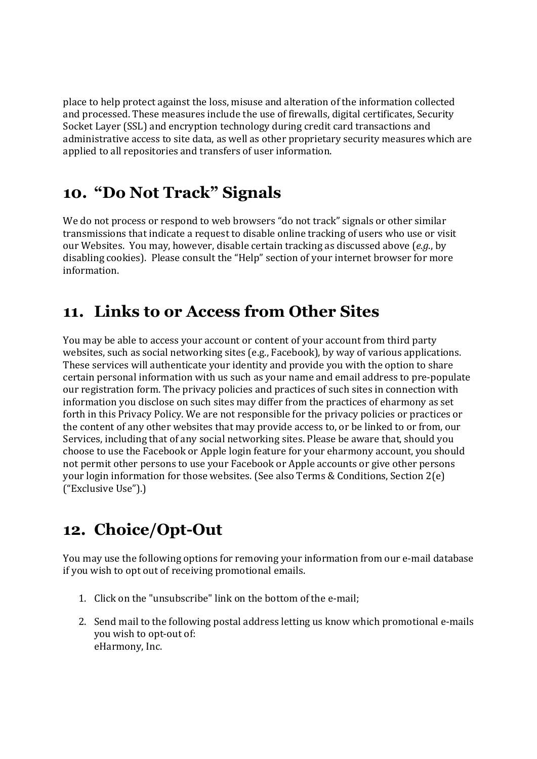place to help protect against the loss, misuse and alteration of the information collected and processed. These measures include the use of firewalls, digital certificates, Security Socket Layer (SSL) and encryption technology during credit card transactions and administrative access to site data, as well as other proprietary security measures which are applied to all repositories and transfers of user information.

## 10. "Do Not Track" Signals

We do not process or respond to web browsers "do not track" signals or other similar transmissions that indicate a request to disable online tracking of users who use or visit our Websites. You may, however, disable certain tracking as discussed above (e.g., by disabling cookies). Please consult the "Help" section of your internet browser for more information.

# 11. Links to or Access from Other Sites

You may be able to access your account or content of your account from third party websites, such as social networking sites (e.g., Facebook), by way of various applications. These services will authenticate your identity and provide you with the option to share certain personal information with us such as your name and email address to pre-populate our registration form. The privacy policies and practices of such sites in connection with information you disclose on such sites may differ from the practices of eharmony as set forth in this Privacy Policy. We are not responsible for the privacy policies or practices or the content of any other websites that may provide access to, or be linked to or from, our Services, including that of any social networking sites. Please be aware that, should you choose to use the Facebook or Apple login feature for your eharmony account, you should not permit other persons to use your Facebook or Apple accounts or give other persons your login information for those websites. (See also Terms & Conditions, Section 2(e) ("Exclusive Use").)

# 12. Choice/Opt-Out

You may use the following options for removing your information from our e-mail database if you wish to opt out of receiving promotional emails.

- 1. Click on the "unsubscribe" link on the bottom of the e-mail;
- 2. Send mail to the following postal address letting us know which promotional e-mails you wish to opt-out of: eHarmony, Inc.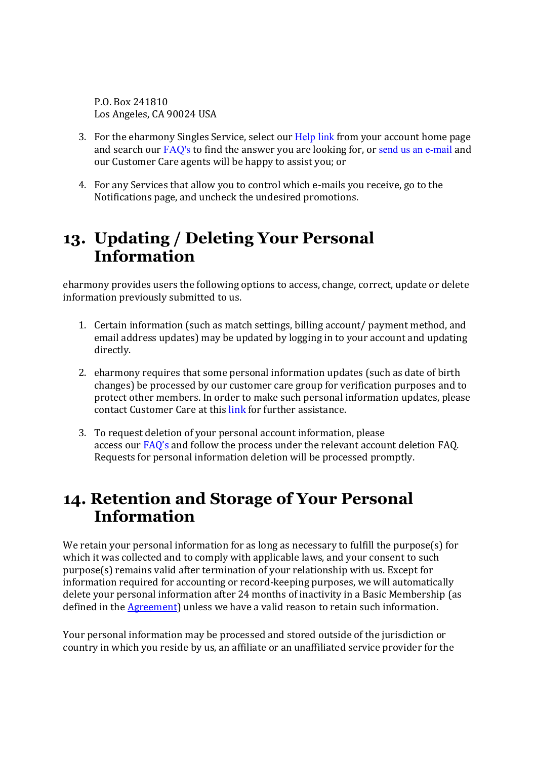P.O. Box 241810 Los Angeles, CA 90024 USA

- 3. For the eharmony Singles Service, select our Help link from your account home page and search our FAQ's to find the answer you are looking for, or send us an e-mail and our Customer Care agents will be happy to assist you; or
- 4. For any Services that allow you to control which e-mails you receive, go to the Notifications page, and uncheck the undesired promotions.

## 13. Updating / Deleting Your Personal Information

eharmony provides users the following options to access, change, correct, update or delete information previously submitted to us.

- 1. Certain information (such as match settings, billing account/ payment method, and email address updates) may be updated by logging in to your account and updating directly.
- 2. eharmony requires that some personal information updates (such as date of birth changes) be processed by our customer care group for verification purposes and to protect other members. In order to make such personal information updates, please contact Customer Care at this link for further assistance.
- 3. To request deletion of your personal account information, please access our FAQ's and follow the process under the relevant account deletion FAQ. Requests for personal information deletion will be processed promptly.

## 14. Retention and Storage of Your Personal Information

We retain your personal information for as long as necessary to fulfill the purpose(s) for which it was collected and to comply with applicable laws, and your consent to such purpose(s) remains valid after termination of your relationship with us. Except for information required for accounting or record-keeping purposes, we will automatically delete your personal information after 24 months of inactivity in a Basic Membership (as defined in the Agreement) unless we have a valid reason to retain such information.

Your personal information may be processed and stored outside of the jurisdiction or country in which you reside by us, an affiliate or an unaffiliated service provider for the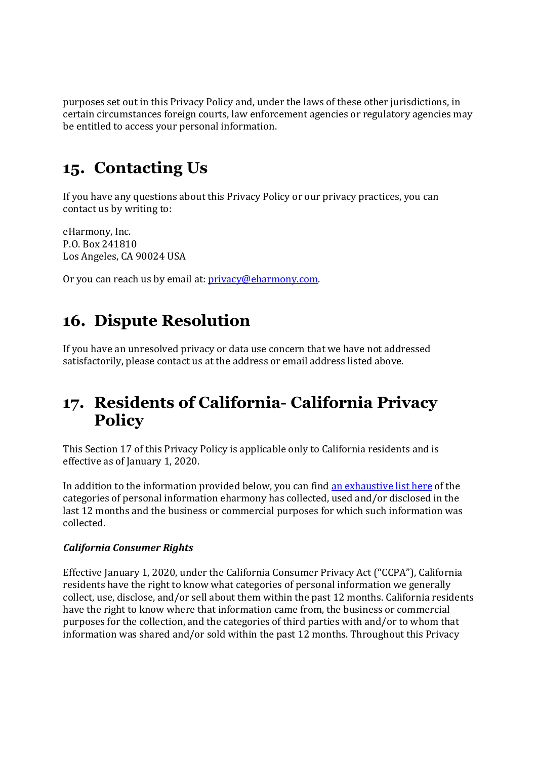purposes set out in this Privacy Policy and, under the laws of these other jurisdictions, in certain circumstances foreign courts, law enforcement agencies or regulatory agencies may be entitled to access your personal information.

## 15. Contacting Us

If you have any questions about this Privacy Policy or our privacy practices, you can contact us by writing to:

eHarmony, Inc. P.O. Box 241810 Los Angeles, CA 90024 USA

Or you can reach us by email at: *privacy@eharmony.com.* 

## 16. Dispute Resolution

If you have an unresolved privacy or data use concern that we have not addressed satisfactorily, please contact us at the address or email address listed above.

## 17. Residents of California- California Privacy **Policy**

This Section 17 of this Privacy Policy is applicable only to California residents and is effective as of January 1, 2020.

In addition to the information provided below, you can find an exhaustive list here of the categories of personal information eharmony has collected, used and/or disclosed in the last 12 months and the business or commercial purposes for which such information was collected.

#### California Consumer Rights

Effective January 1, 2020, under the California Consumer Privacy Act ("CCPA"), California residents have the right to know what categories of personal information we generally collect, use, disclose, and/or sell about them within the past 12 months. California residents have the right to know where that information came from, the business or commercial purposes for the collection, and the categories of third parties with and/or to whom that information was shared and/or sold within the past 12 months. Throughout this Privacy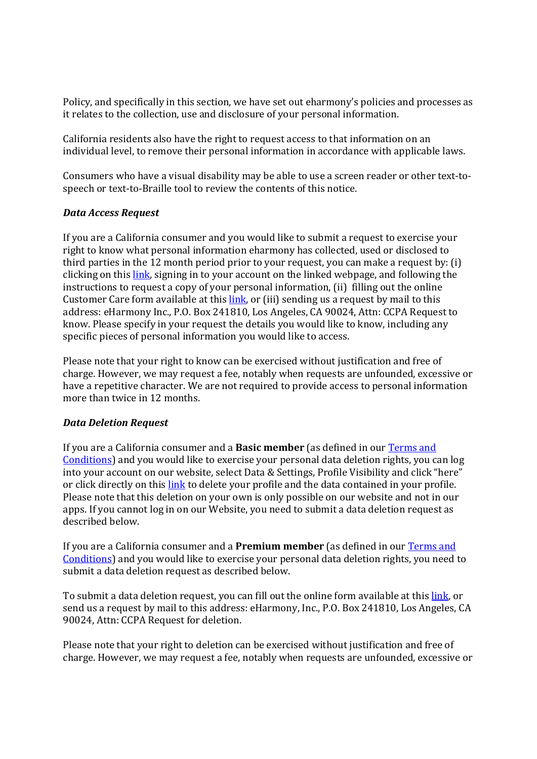Policy, and specifically in this section, we have set out eharmony's policies and processes as it relates to the collection, use and disclosure of your personal information.

California residents also have the right to request access to that information on an individual level, to remove their personal information in accordance with applicable laws.

Consumers who have a visual disability may be able to use a screen reader or other text-tospeech or text-to-Braille tool to review the contents of this notice.

#### Data Access Request

If you are a California consumer and you would like to submit a request to exercise your right to know what personal information eharmony has collected, used or disclosed to third parties in the 12 month period prior to your request, you can make a request by: (i) clicking on this link, signing in to your account on the linked webpage, and following the instructions to request a copy of your personal information, (ii) filling out the online Customer Care form available at this link, or (iii) sending us a request by mail to this address: eHarmony Inc., P.O. Box 241810, Los Angeles, CA 90024, Attn: CCPA Request to know. Please specify in your request the details you would like to know, including any specific pieces of personal information you would like to access.

Please note that your right to know can be exercised without justification and free of charge. However, we may request a fee, notably when requests are unfounded, excessive or have a repetitive character. We are not required to provide access to personal information more than twice in 12 months.

#### Data Deletion Request

If you are a California consumer and a Basic member (as defined in our Terms and Conditions) and you would like to exercise your personal data deletion rights, you can log into your account on our website, select Data & Settings, Profile Visibility and click "here" or click directly on this link to delete your profile and the data contained in your profile. Please note that this deletion on your own is only possible on our website and not in our apps. If you cannot log in on our Website, you need to submit a data deletion request as described below.

If you are a California consumer and a **Premium member** (as defined in our Terms and Conditions) and you would like to exercise your personal data deletion rights, you need to submit a data deletion request as described below.

To submit a data deletion request, you can fill out the online form available at this link, or send us a request by mail to this address: eHarmony, Inc., P.O. Box 241810, Los Angeles, CA 90024, Attn: CCPA Request for deletion.

Please note that your right to deletion can be exercised without justification and free of charge. However, we may request a fee, notably when requests are unfounded, excessive or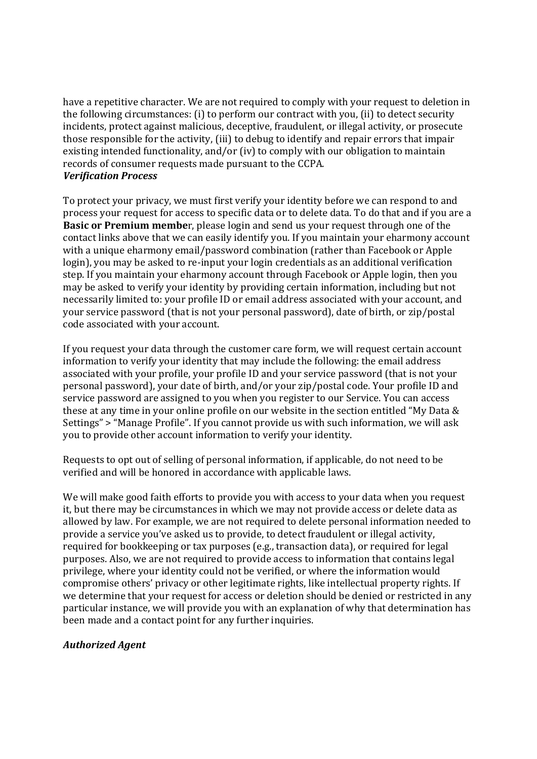have a repetitive character. We are not required to comply with your request to deletion in the following circumstances: (i) to perform our contract with you, (ii) to detect security incidents, protect against malicious, deceptive, fraudulent, or illegal activity, or prosecute those responsible for the activity, (iii) to debug to identify and repair errors that impair existing intended functionality, and/or (iv) to comply with our obligation to maintain records of consumer requests made pursuant to the CCPA. Verification Process

To protect your privacy, we must first verify your identity before we can respond to and process your request for access to specific data or to delete data. To do that and if you are a Basic or Premium member, please login and send us your request through one of the contact links above that we can easily identify you. If you maintain your eharmony account with a unique eharmony email/password combination (rather than Facebook or Apple login), you may be asked to re-input your login credentials as an additional verification step. If you maintain your eharmony account through Facebook or Apple login, then you may be asked to verify your identity by providing certain information, including but not necessarily limited to: your profile ID or email address associated with your account, and your service password (that is not your personal password), date of birth, or zip/postal code associated with your account.

If you request your data through the customer care form, we will request certain account information to verify your identity that may include the following: the email address associated with your profile, your profile ID and your service password (that is not your personal password), your date of birth, and/or your zip/postal code. Your profile ID and service password are assigned to you when you register to our Service. You can access these at any time in your online profile on our website in the section entitled "My Data & Settings" > "Manage Profile". If you cannot provide us with such information, we will ask you to provide other account information to verify your identity.

Requests to opt out of selling of personal information, if applicable, do not need to be verified and will be honored in accordance with applicable laws.

We will make good faith efforts to provide you with access to your data when you request it, but there may be circumstances in which we may not provide access or delete data as allowed by law. For example, we are not required to delete personal information needed to provide a service you've asked us to provide, to detect fraudulent or illegal activity, required for bookkeeping or tax purposes (e.g., transaction data), or required for legal purposes. Also, we are not required to provide access to information that contains legal privilege, where your identity could not be verified, or where the information would compromise others' privacy or other legitimate rights, like intellectual property rights. If we determine that your request for access or deletion should be denied or restricted in any particular instance, we will provide you with an explanation of why that determination has been made and a contact point for any further inquiries.

#### Authorized Agent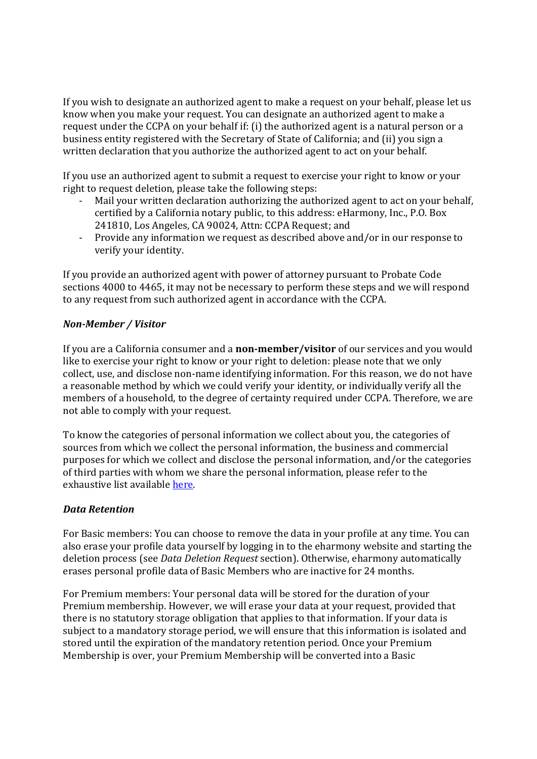If you wish to designate an authorized agent to make a request on your behalf, please let us know when you make your request. You can designate an authorized agent to make a request under the CCPA on your behalf if: (i) the authorized agent is a natural person or a business entity registered with the Secretary of State of California; and (ii) you sign a written declaration that you authorize the authorized agent to act on your behalf.

If you use an authorized agent to submit a request to exercise your right to know or your right to request deletion, please take the following steps:

- Mail your written declaration authorizing the authorized agent to act on your behalf, certified by a California notary public, to this address: eHarmony, Inc., P.O. Box 241810, Los Angeles, CA 90024, Attn: CCPA Request; and
- Provide any information we request as described above and/or in our response to verify your identity.

If you provide an authorized agent with power of attorney pursuant to Probate Code sections 4000 to 4465, it may not be necessary to perform these steps and we will respond to any request from such authorized agent in accordance with the CCPA.

#### Non-Member / Visitor

If you are a California consumer and a non-member/visitor of our services and you would like to exercise your right to know or your right to deletion: please note that we only collect, use, and disclose non-name identifying information. For this reason, we do not have a reasonable method by which we could verify your identity, or individually verify all the members of a household, to the degree of certainty required under CCPA. Therefore, we are not able to comply with your request.

To know the categories of personal information we collect about you, the categories of sources from which we collect the personal information, the business and commercial purposes for which we collect and disclose the personal information, and/or the categories of third parties with whom we share the personal information, please refer to the exhaustive list available here.

#### Data Retention

For Basic members: You can choose to remove the data in your profile at any time. You can also erase your profile data yourself by logging in to the eharmony website and starting the deletion process (see Data Deletion Request section). Otherwise, eharmony automatically erases personal profile data of Basic Members who are inactive for 24 months.

For Premium members: Your personal data will be stored for the duration of your Premium membership. However, we will erase your data at your request, provided that there is no statutory storage obligation that applies to that information. If your data is subject to a mandatory storage period, we will ensure that this information is isolated and stored until the expiration of the mandatory retention period. Once your Premium Membership is over, your Premium Membership will be converted into a Basic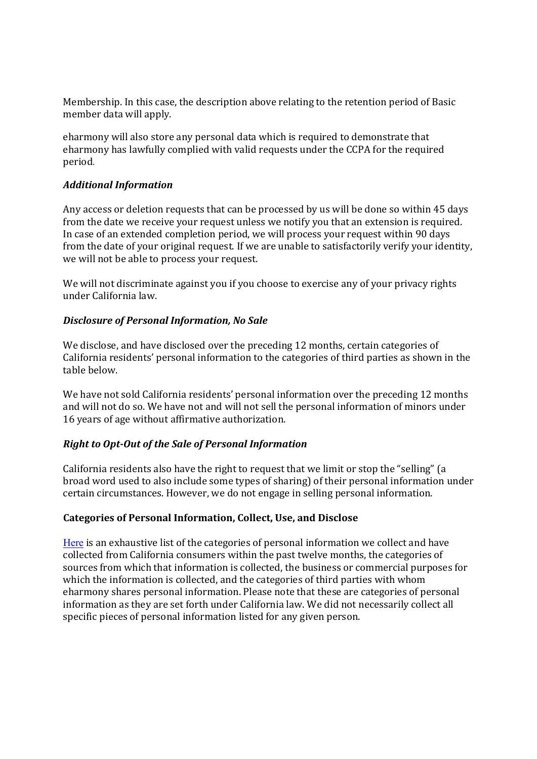Membership. In this case, the description above relating to the retention period of Basic member data will apply.

eharmony will also store any personal data which is required to demonstrate that eharmony has lawfully complied with valid requests under the CCPA for the required period.

#### Additional Information

Any access or deletion requests that can be processed by us will be done so within 45 days from the date we receive your request unless we notify you that an extension is required. In case of an extended completion period, we will process your request within 90 days from the date of your original request. If we are unable to satisfactorily verify your identity, we will not be able to process your request.

We will not discriminate against you if you choose to exercise any of your privacy rights under California law.

#### Disclosure of Personal Information, No Sale

We disclose, and have disclosed over the preceding 12 months, certain categories of California residents' personal information to the categories of third parties as shown in the table below.

We have not sold California residents' personal information over the preceding 12 months and will not do so. We have not and will not sell the personal information of minors under 16 years of age without affirmative authorization.

#### Right to Opt-Out of the Sale of Personal Information

California residents also have the right to request that we limit or stop the "selling" (a broad word used to also include some types of sharing) of their personal information under certain circumstances. However, we do not engage in selling personal information.

#### Categories of Personal Information, Collect, Use, and Disclose

Here is an exhaustive list of the categories of personal information we collect and have collected from California consumers within the past twelve months, the categories of sources from which that information is collected, the business or commercial purposes for which the information is collected, and the categories of third parties with whom eharmony shares personal information. Please note that these are categories of personal information as they are set forth under California law. We did not necessarily collect all specific pieces of personal information listed for any given person.